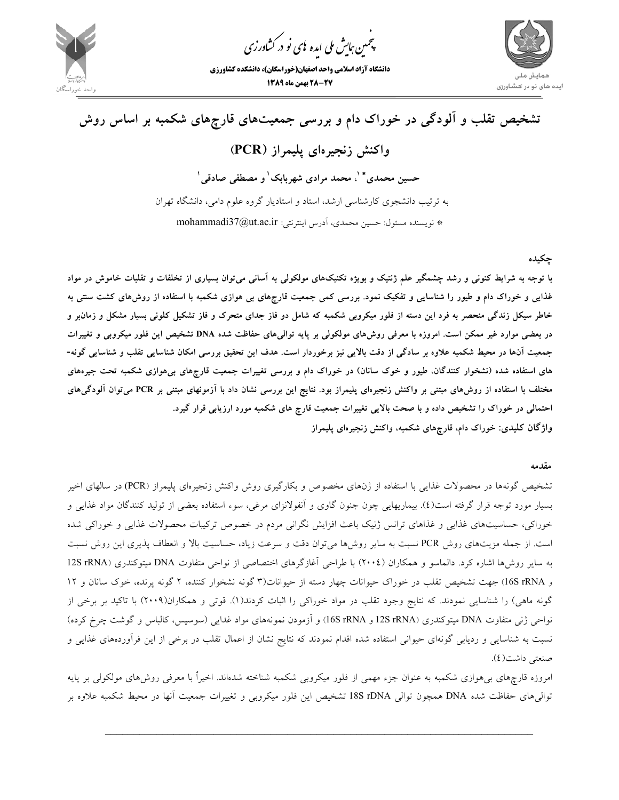

.<br>چمین *جایش ملی* ایده <sup>ب</sup>ای نو در کشاورزی ൕह

**دانشگاه آزاد اسلامي واحد اصفهان(خوراسگان)، دانشكده كشاورزي 28-27 بهمن ماه 1389**



**تشخيص تقلب و آلودگي در خوراك دام و بررسي جمعيتهاي قارچهاي شكمبه بر اساس روش واكنش زنجيرهاي پليمراز (PCR ( <sup>1</sup> و مصطفي صادقي <sup>1</sup> ، محمد مرادي شهربابك <sup>1</sup> حسين محمدي** به ترتيب دانشجوي كارشناسي ارشد، استاد و استاديار گروه علوم دامي، دانشگاه تهران \* نويسنده مسئول: حسين محمدي، آدرس اينترنتي: mohammadi37@ut.ac.ir

**چكيده** 

با توجه به شرایط کنونی و رشد چشمگیر علم ژنتیک و بویژه تکنیکهای مولکولی به آسانی می توان بسیاری از تخلفات و تقلبات خاموش در مواد غذایی و خوراک دام و طبور را شناسایی و تفکیک نمود. بررسی کمی جمعیت قارچهای بی هوازی شکمبه با استفاده از روشهای کشت سنتی به خاطر سیکل زندگی منحصر به فرد این دسته از فلور میکروبی شکمبه که شامل دو فاز جدای متحرک و فاز تشکیل کلونی بسیار مشکل و زمانبر و در بعضی موارد غیر ممکن است. امروزه با معرفی روش های مولکولی بر پایه توالی های حفاظت شده DNA تشخیص این فلور میکروبی و تغییرات جمعیت آنها در محیط شکمبه علاوه بر سادگی از دقت بالایی نیز برخوردار است. هدف این تحقیق بررسی امکان شناسایی تقلب و شناسایی گونه-های استفاده شده (نشخوار کنندگان، طیور و خوک سانان) در خوراک دام و بررسی تغییرات جمعیت قارچهای بیهوازی شکمبه تحت جیرههای مختلف با استفاده از روشهای مبتنی بر واکنش زنجیرهای پلیمراز بود. نتایج این بررسی نشان داد با آزمونهای مبتنی بر PCR میتوان آلودگیهای احتمالی در خوراک را تشخیص داده و با صحت بالایی تغییرات جمعیت قارچ های شکمبه مورد ارزیابی قرار گیرد. **واژگان كليدي: خوراك دام، قارچهاي شكمبه، واكنش زنجيرهاي پليمراز** 

**مقدمه** 

تشخيص گونهها در محصولات غذايي با استفاده از ژنهاي مخصوص و بكارگيري روش واكنش زنجيرهاي پليمراز (PCR (در سالهاي اخير بسيار مورد توجه قرار گرفته است(4). بيماريهايي چون جنون گاوي و آنفولانزاي مرغي، سوء استفاده بعضي از توليد كنندگان مواد غذايي و خوراكي، حساسيتهاي غذايي و غذاهاي ترانس ژنيك باعث افزايش نگراني مردم در خصوص تركيبات محصولات غذايي و خوراكي شده است. از جمله مزيتهاي روش PCR نسبت به ساير روشها ميتوان دقت و سرعت زياد، حساسيت بالا و انعطاف پذيري اين روش نسبت به ساير روشها اشاره كرد. دالماسو و همكاران (2004) با طراحي آغازگرهاي اختصاصي از نواحي متفاوت DNA ميتوكندري (rRNA S12 و 16S rRNA) جهت تشخيص تقلب در خوراك حيوانات چهار دسته از حيوانات(٣ گونه نشخوار كننده، ٢ گونه پرنده، خوك سانان و ١٢ گونه ماهي) را شناسايي نمودند. كه نتايج وجود تقلب در مواد خوراكي را اثبات كردند(1). قوتي و همكاران(2009) با تاكيد بر برخي از نواحي ژني متفاوت DNA ميتوكندري (rRNA و 12S rRNA) و آزمودن نمونههاي مواد غدايي (سوسيس، كالباس و گوشت چرخ كرده) نسبت به شناسايي و رديابي گونهاي حيواني استفاده شده اقدام نمودند كه نتايج نشان از اعمال تقلب در برخي از اين فرآوردههاي غذايي و صنعتي داشت(4).

امروزه قارچهاي بيهوازي شكمبه به عنوان جزء مهمي از فلور ميكروبي شكمبه شناخته شدهاند. اخيراٌ با معرفي روشهاي مولكولي بر پايه تواليهاي حفاظت شده DNA همچون توالي rDNA S18 تشخيص اين فلور ميكروبي و تغييرات جمعيت آنها در محيط شكمبه علاوه بر

 $\mathcal{L}_\mathcal{L} = \{ \mathcal{L}_\mathcal{L} = \{ \mathcal{L}_\mathcal{L} = \{ \mathcal{L}_\mathcal{L} = \{ \mathcal{L}_\mathcal{L} = \{ \mathcal{L}_\mathcal{L} = \{ \mathcal{L}_\mathcal{L} = \{ \mathcal{L}_\mathcal{L} = \{ \mathcal{L}_\mathcal{L} = \{ \mathcal{L}_\mathcal{L} = \{ \mathcal{L}_\mathcal{L} = \{ \mathcal{L}_\mathcal{L} = \{ \mathcal{L}_\mathcal{L} = \{ \mathcal{L}_\mathcal{L} = \{ \mathcal{L}_\mathcal{$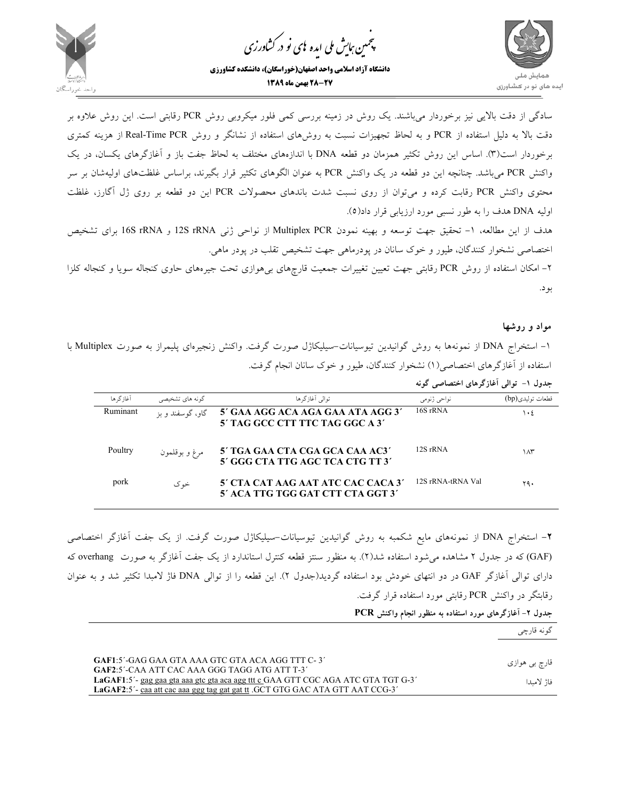

.<br>چمین *جایش ملی* ایده <sup>ب</sup>ای نو در کشاورزی ൕह



سادگي از دقت بالايي نيز برخوردار ميباشند. يك روش در زمينه بررسي كمي فلور ميكروبي روش PCR رقابتي است. اين روش علاوه بر دقت بالا به دليل استفاده از PCR و به لحاظ تجهيزات نسبت به روشهاي استفاده از نشانگر و روش PCR Time-Real از هزينه كمتري برخوردار است(3). اساس اين روش تكثير همزمان دو قطعه DNA با اندازههاي مختلف به لحاظ جفت باز و آغازگرهاي يكسان، در يك واكنش PCR ميباشد. چنانچه اين دو قطعه در يك واكنش PCR به عنوان الگوهاي تكثير قرار بگيرند، براساس غلظتهاي اوليهشان بر سر محتوي واكنش PCR رقابت كرده و ميتوان از روي نسبت شدت باندهاي محصولات PCR اين دو قطعه بر روي ژل آگارز، غلظت اوليه DNA هدف را به طور نسبي مورد ارزيابي قرار داد(5). هدف از اين مطالعه، ١- تحقيق جهت توسعه و بهينه نمودن Multiplex PCR از نواحي ژني 12S rRNA و 16S rRNA براي تشخيص اختصاصي نشخوار كنندگان، طيور و خوك سانان در پودرماهي جهت تشخيص تقلب در پودر ماهي.

-2 امكان استفاده از روش PCR رقابتي جهت تعيين تغييرات جمعيت قارچهاي بيهوازي تحت جيرههاي حاوي كنجاله سويا و كنجاله كلزا بود.

## **مواد و روشها**

-1 استخراج DNA از نمونهها به روش گوانيدين تيوسيانات- سيليكاژل صورت گرفت. واكنش زنجيرهاي پليمراز به صورت Multiplex با استفاده از آغازگرهاي اختصاصي(1) نشخوار كنندگان، طيور و خوك سانان انجام گرفت.

**جدول -1 توالي آغازگرهاي اختصاصي گونه** 

| آغازگر ها | گونه های تشخیصی  | توالی آغازگرها                                                          | نواحی ژنومی       | قطعات تولیدی(bp) |
|-----------|------------------|-------------------------------------------------------------------------|-------------------|------------------|
| Ruminant  | گاو، گوسفند و بز | 5' GAA AGG ACA AGA GAA ATA AGG 3'<br>5' TAG GCC CTT TTC TAG GGC A 3'    | 16S rRNA          | ١٠٤              |
| Poultry   | مرغ و بوقلمون    | 5' TGA GAA CTA CGA GCA CAA AC3'<br>5' GGG CTA TTG AGC TCA CTG TT 3'     | 12S rRNA          | ۱۸۳              |
| pork      | خو ک             | 5' CTA CAT AAG AAT ATC CAC CACA 3'<br>5' ACA TTG TGG GAT CTT CTA GGT 3' | 12S rRNA-tRNA Val | ۲۹۰              |

**-2** استخراج DNA از نمونههاي مايع شكمبه به روش گوانيدين تيوسيانات-سيليكاژل صورت گرفت. از يك جفت آغازگر اختصاصي (GAF (كه در جدول 2 مشاهده ميشود استفاده شد(2). به منظور سنتز قطعه كنترل استاندارد از يك جفت آغازگر به صورت overhang كه داراي توالي آغازگر GAF در دو انتهاي خودش بود استفاده گرديد(جدول 2). اين قطعه را از توالي DNA فاژ لامبدا تكثير شد و به عنوان رقابتگر در واكنش PCR رقابتي مورد استفاده قرار گرفت. **جدول -2 آغازگرهاي مورد استفاده به منظور انجام واكنش PCR** 

|                                                                                                                                                                    | گونه قارچي    |
|--------------------------------------------------------------------------------------------------------------------------------------------------------------------|---------------|
| GAF1:5'-GAG GAA GTA AAA GTC GTA ACA AGG TTT C-3'<br>GAF2:5'-CAA ATT CAC AAA GGG TAGG ATG ATT T-3'                                                                  | قارچ بي هوازي |
| LaGAF1:5'- gag gaa gta aaa gtc gta aca agg ttt c GAA GTT CGC AGA ATC GTA TGT G-3'<br>LaGAF2:5'- caa att cac aaa ggg tag gat gat tt .GCT GTG GAC ATA GTT AAT CCG-3' | فاژ لامىدا    |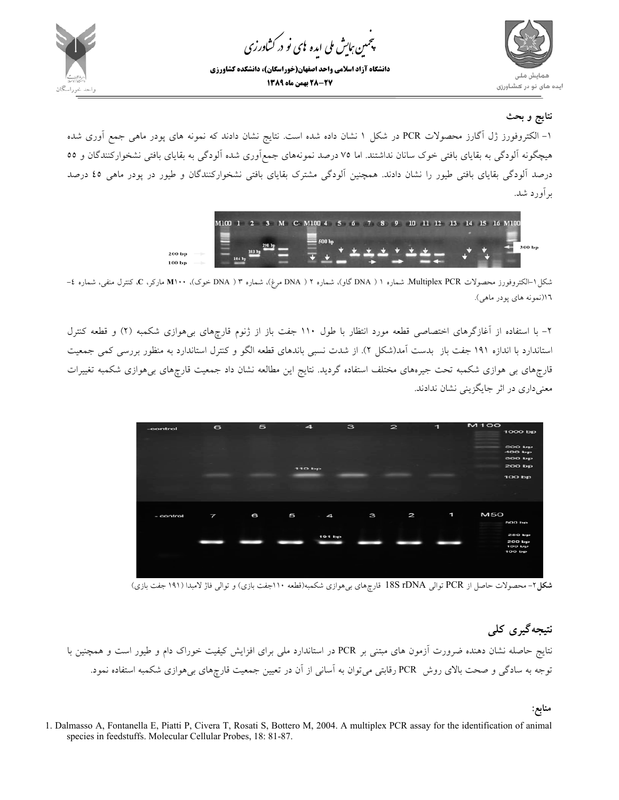





**نتايج و بحث**

-1 الكتروفورز ژل آگارز محصولات PCR در شكل 1 نشان داده شده است. نتايج نشان دادند كه نمونه هاي پودر ماهي جمع آوري شده هيچگونه آلودگي به بقاياي بافتي خوك سانان نداشتند. اما 75 درصد نمونههاي جمعآوري شده آلودگي به بقاياي بافتي نشخواركنندگان و 55 درصد آلودگي بقاياي بافتي طيور را نشان دادند. همچنين آلودگي مشترك بقاياي بافتي نشخواركنندگان و طيور در پودر ماهي 45 درصد برآورد شد.



شكل-1 الكتروفورز محصولات PCR Multiplex. شماره <sup>1</sup> ( DNA گاو)، شماره <sup>2</sup> ( DNA مرغ)، شماره <sup>3</sup> ( DNA خوك)، <sup>100</sup>**<sup>M</sup>** ماركر، **<sup>C</sup>**، كنترل منفي، شماره -4 16(نمونه هاي پودر ماهي).

-2 با استفاده از آغازگرهاي اختصاصي قطعه مورد انتظار با طول 110 جفت باز از ژنوم قارچهاي بيهوازي شكمبه (2) و قطعه كنترل استاندارد با اندازه 191 جفت باز بدست آمد(شكل 2). از شدت نسبي باندهاي قطعه الگو و كنترل استاندارد به منظور بررسي كمي جمعيت قارچهاي بي هوازي شكمبه تحت جيرههاي مختلف استفاده گرديد. نتايج اين مطالعه نشان داد جمعيت قارچهاي بيهوازي شكمبه تغييرات معنيداري در اثر جايگزيني نشان ندادند.



**شكل**-2 محصولات حاصل از PCR توالي rDNA S18 قارچهاي بيهوازي شكمبه(قطعه <sup>110</sup>جفت بازي) <sup>و</sup> توالي فاژ لامبدا (191 جفت بازي)

**نتيجهگيري كلي**  نتايج حاصله نشان دهنده ضرورت آزمون هاي مبتني بر PCR در استاندارد ملي براي افزايش كيفيت خوراك دام و طيور است و همچنين با توجه به سادگي و صحت بالاي روش PCR رقابتي ميتوان به آساني از آن در تعيين جمعيت قارچهاي بيهوازي شكمبه استفاده نمود.

**منابع:**

1. Dalmasso A, Fontanella E, Piatti P, Civera T, Rosati S, Bottero M, 2004. A multiplex PCR assay for the identification of animal species in feedstuffs. Molecular Cellular Probes, 18: 81-87.